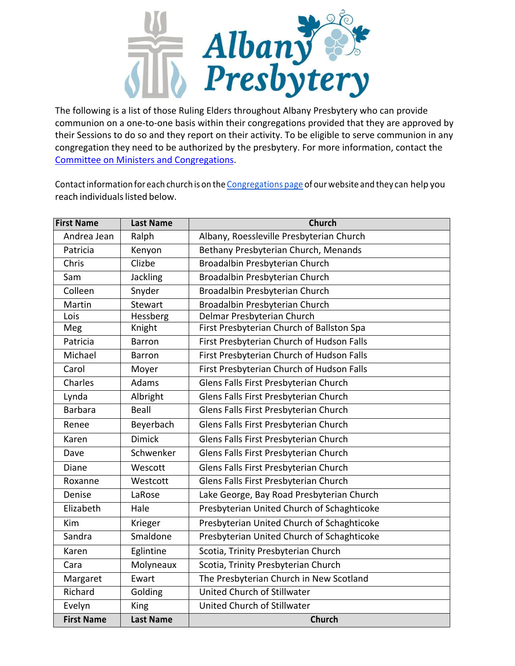

The following is a list of those Ruling Elders throughout Albany Presbytery who can provide communion on a one-to-one basis within their congregations provided that they are approved by their Sessions to do so and they report on their activity. To be eligible to serve communion in any congregation they need to be authorized by the presbytery. For more information, contact the Committee on Ministers and Congregations.

Contact information for each church is on the Congregations page of our website and they can help you reach individuals listed below.

| <b>First Name</b> | <b>Last Name</b> | <b>Church</b>                              |
|-------------------|------------------|--------------------------------------------|
| Andrea Jean       | Ralph            | Albany, Roessleville Presbyterian Church   |
| Patricia          | Kenyon           | Bethany Presbyterian Church, Menands       |
| Chris             | Clizbe           | Broadalbin Presbyterian Church             |
| Sam               | <b>Jackling</b>  | Broadalbin Presbyterian Church             |
| Colleen           | Snyder           | Broadalbin Presbyterian Church             |
| Martin            | <b>Stewart</b>   | Broadalbin Presbyterian Church             |
| Lois              | Hessberg         | Delmar Presbyterian Church                 |
| Meg               | Knight           | First Presbyterian Church of Ballston Spa  |
| Patricia          | <b>Barron</b>    | First Presbyterian Church of Hudson Falls  |
| Michael           | <b>Barron</b>    | First Presbyterian Church of Hudson Falls  |
| Carol             | Moyer            | First Presbyterian Church of Hudson Falls  |
| Charles           | <b>Adams</b>     | Glens Falls First Presbyterian Church      |
| Lynda             | Albright         | Glens Falls First Presbyterian Church      |
| <b>Barbara</b>    | Beall            | Glens Falls First Presbyterian Church      |
| Renee             | Beyerbach        | Glens Falls First Presbyterian Church      |
| Karen             | <b>Dimick</b>    | Glens Falls First Presbyterian Church      |
| Dave              | Schwenker        | Glens Falls First Presbyterian Church      |
| Diane             | Wescott          | Glens Falls First Presbyterian Church      |
| Roxanne           | Westcott         | Glens Falls First Presbyterian Church      |
| Denise            | LaRose           | Lake George, Bay Road Presbyterian Church  |
| Elizabeth         | Hale             | Presbyterian United Church of Schaghticoke |
| Kim               | Krieger          | Presbyterian United Church of Schaghticoke |
| Sandra            | Smaldone         | Presbyterian United Church of Schaghticoke |
| Karen             | Eglintine        | Scotia, Trinity Presbyterian Church        |
| Cara              | Molyneaux        | Scotia, Trinity Presbyterian Church        |
| Margaret          | Ewart            | The Presbyterian Church in New Scotland    |
| Richard           | Golding          | <b>United Church of Stillwater</b>         |
| Evelyn            | King             | United Church of Stillwater                |
| <b>First Name</b> | <b>Last Name</b> | <b>Church</b>                              |